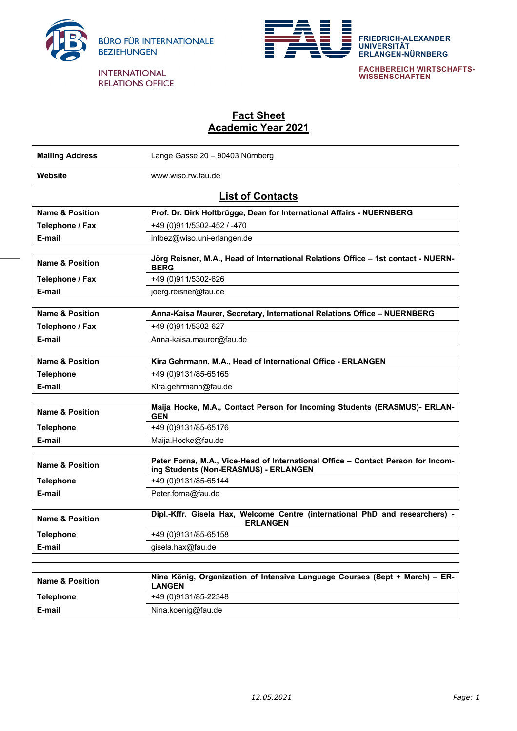



**FRIEDRICH-ALEXANDER UNIVERSITÄT ERLANGEN-NÜRNBERG**

**FACHBEREICH WIRTSCHAFTS-WISSENSCHAFTEN**

## **Fact Sheet Academic Year 2021**

| <b>Mailing Address</b>     | Lange Gasse 20 - 90403 Nürnberg                                                                                           |  |  |
|----------------------------|---------------------------------------------------------------------------------------------------------------------------|--|--|
| <b>Website</b>             | www.wiso.rw.fau.de                                                                                                        |  |  |
| <b>List of Contacts</b>    |                                                                                                                           |  |  |
| <b>Name &amp; Position</b> | Prof. Dr. Dirk Holtbrügge, Dean for International Affairs - NUERNBERG                                                     |  |  |
| Telephone / Fax            | +49 (0)911/5302-452 / -470                                                                                                |  |  |
| E-mail                     | intbez@wiso.uni-erlangen.de                                                                                               |  |  |
| <b>Name &amp; Position</b> | Jörg Reisner, M.A., Head of International Relations Office - 1st contact - NUERN-<br><b>BERG</b>                          |  |  |
| Telephone / Fax            | +49 (0)911/5302-626                                                                                                       |  |  |
| E-mail                     | joerg.reisner@fau.de                                                                                                      |  |  |
|                            |                                                                                                                           |  |  |
| <b>Name &amp; Position</b> | Anna-Kaisa Maurer, Secretary, International Relations Office - NUERNBERG                                                  |  |  |
| Telephone / Fax            | +49 (0)911/5302-627                                                                                                       |  |  |
| E-mail                     | Anna-kaisa.maurer@fau.de                                                                                                  |  |  |
| <b>Name &amp; Position</b> | Kira Gehrmann, M.A., Head of International Office - ERLANGEN                                                              |  |  |
| <b>Telephone</b>           | +49 (0)9131/85-65165                                                                                                      |  |  |
| E-mail                     | Kira.gehrmann@fau.de                                                                                                      |  |  |
| <b>Name &amp; Position</b> | Maija Hocke, M.A., Contact Person for Incoming Students (ERASMUS)- ERLAN-<br><b>GEN</b>                                   |  |  |
| <b>Telephone</b>           | +49 (0)9131/85-65176                                                                                                      |  |  |
| E-mail                     | Maija.Hocke@fau.de                                                                                                        |  |  |
| <b>Name &amp; Position</b> | Peter Forna, M.A., Vice-Head of International Office - Contact Person for Incom-<br>ing Students (Non-ERASMUS) - ERLANGEN |  |  |
| <b>Telephone</b>           | +49 (0) 9131/85-65144                                                                                                     |  |  |
| E-mail                     | Peter.forna@fau.de                                                                                                        |  |  |
| <b>Name &amp; Position</b> | Dipl.-Kffr. Gisela Hax, Welcome Centre (international PhD and researchers) -<br><b>ERLANGEN</b>                           |  |  |
| Telephone                  | +49 (0)9131/85-65158                                                                                                      |  |  |
| E-mail                     | gisela.hax@fau.de                                                                                                         |  |  |
|                            |                                                                                                                           |  |  |
| Name & Decition            | Nina König, Organization of Intensive Language Courses (Sept + March) - ER-                                               |  |  |

| <b>Name &amp; Position</b> | Nina König, Organization of Intensive Language Courses (Sept + March) – ER-<br><b>LANGEN</b> |  |
|----------------------------|----------------------------------------------------------------------------------------------|--|
| Telephone                  | +49 (0)9131/85-22348                                                                         |  |
| E-mail                     | Nina.koenig@fau.de                                                                           |  |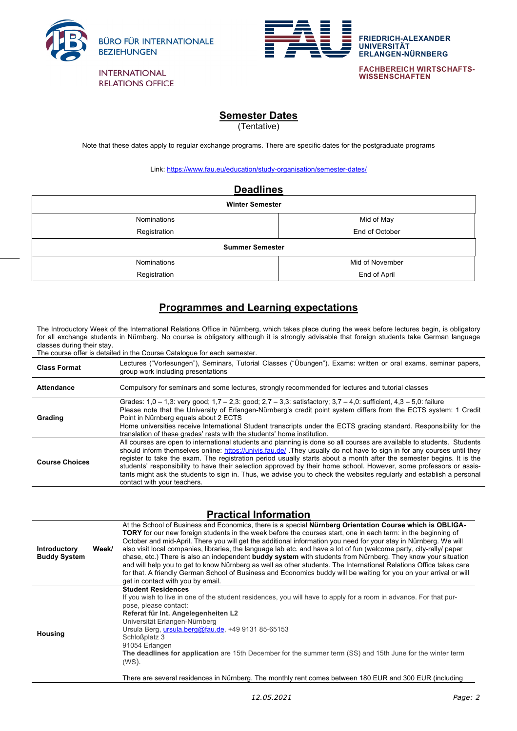

**FACHBEREICH WIRTSCHAFTS-WISSENSCHAFTEN**

**FRIEDRICH-ALEXANDER**

**ERLANGEN-NÜRNBERG**

**UNIVERSITÄT**

## **Semester Dates**

(Tentative)

Note that these dates apply to regular exchange programs. There are specific dates for the postgraduate programs

Link: https://www.fau.eu/education/study-organisation/semester-dates/

| <b>Deadlines</b>       |                 |  |  |  |
|------------------------|-----------------|--|--|--|
| <b>Winter Semester</b> |                 |  |  |  |
| Nominations            | Mid of May      |  |  |  |
| Registration           | End of October  |  |  |  |
| <b>Summer Semester</b> |                 |  |  |  |
| Nominations            | Mid of November |  |  |  |
| Registration           | End of April    |  |  |  |

## **Programmes and Learning expectations**

The Introductory Week of the International Relations Office in Nürnberg, which takes place during the week before lectures begin, is obligatory for all exchange students in Nürnberg. No course is obligatory although it is strongly advisable that foreign students take German language classes during their stay.

The course offer is detailed in the Course Catalogue for each semester.

| <b>Class Format</b>   | Lectures ("Vorlesungen"), Seminars, Tutorial Classes ("Übungen"). Exams: written or oral exams, seminar papers,<br>group work including presentations                                                                                                                                                                                                                                                                                                                                                                                                                                                                                                   |  |
|-----------------------|---------------------------------------------------------------------------------------------------------------------------------------------------------------------------------------------------------------------------------------------------------------------------------------------------------------------------------------------------------------------------------------------------------------------------------------------------------------------------------------------------------------------------------------------------------------------------------------------------------------------------------------------------------|--|
| <b>Attendance</b>     | Compulsory for seminars and some lectures, strongly recommended for lectures and tutorial classes                                                                                                                                                                                                                                                                                                                                                                                                                                                                                                                                                       |  |
| Grading               | Grades: $1,0 - 1,3$ : very good; $1,7 - 2,3$ : good; $2,7 - 3,3$ : satisfactory; $3,7 - 4,0$ : sufficient, $4,3 - 5,0$ : failure<br>Please note that the University of Erlangen-Nürnberg's credit point system differs from the ECTS system: 1 Credit<br>Point in Nürnberg equals about 2 ECTS<br>Home universities receive International Student transcripts under the ECTS grading standard. Responsibility for the<br>translation of these grades' rests with the students' home institution.                                                                                                                                                        |  |
| <b>Course Choices</b> | All courses are open to international students and planning is done so all courses are available to students. Students<br>should inform themselves online: https://univis.fau.de/ .They usually do not have to sign in for any courses until they<br>register to take the exam. The registration period usually starts about a month after the semester begins. It is the<br>students' responsibility to have their selection approved by their home school. However, some professors or assis-<br>tants might ask the students to sign in. Thus, we advise you to check the websites regularly and establish a personal<br>contact with your teachers. |  |

## **Practical Information**

| <b>Introductory</b><br><b>Buddy System</b>                                                                                                                                                                           | At the School of Business and Economics, there is a special <b>Nürnberg Orientation Course which is OBLIGA-</b><br><b>TORY</b> for our new foreign students in the week before the courses start, one in each term: in the beginning of<br>October and mid-April. There you will get the additional information you need for your stay in Nürnberg. We will<br>also visit local companies, libraries, the language lab etc. and have a lot of fun (welcome party, city-rally/ paper<br>Week/<br>chase, etc.) There is also an independent <b>buddy system</b> with students from Nürnberg. They know your situation<br>and will help you to get to know Nürnberg as well as other students. The International Relations Office takes care<br>for that. A friendly German School of Business and Economics buddy will be waiting for you on your arrival or will<br>get in contact with you by email. |                                                                                                                                                                                                                                                              |
|----------------------------------------------------------------------------------------------------------------------------------------------------------------------------------------------------------------------|------------------------------------------------------------------------------------------------------------------------------------------------------------------------------------------------------------------------------------------------------------------------------------------------------------------------------------------------------------------------------------------------------------------------------------------------------------------------------------------------------------------------------------------------------------------------------------------------------------------------------------------------------------------------------------------------------------------------------------------------------------------------------------------------------------------------------------------------------------------------------------------------------|--------------------------------------------------------------------------------------------------------------------------------------------------------------------------------------------------------------------------------------------------------------|
| pose, please contact:<br>Referat für Int. Angelegenheiten L2<br>Universität Erlangen-Nürnberg<br>Ursula Berg, ursula.berg@fau.de, +49 9131 85-65153<br><b>Housing</b><br>Schloßplatz 3<br>91054 Erlangen<br>$(WS)$ . |                                                                                                                                                                                                                                                                                                                                                                                                                                                                                                                                                                                                                                                                                                                                                                                                                                                                                                      | <b>Student Residences</b><br>If you wish to live in one of the student residences, you will have to apply for a room in advance. For that pur-<br>The deadlines for application are 15th December for the summer term (SS) and 15th June for the winter term |

There are several residences in Nürnberg. The monthly rent comes between 180 EUR and 300 EUR (including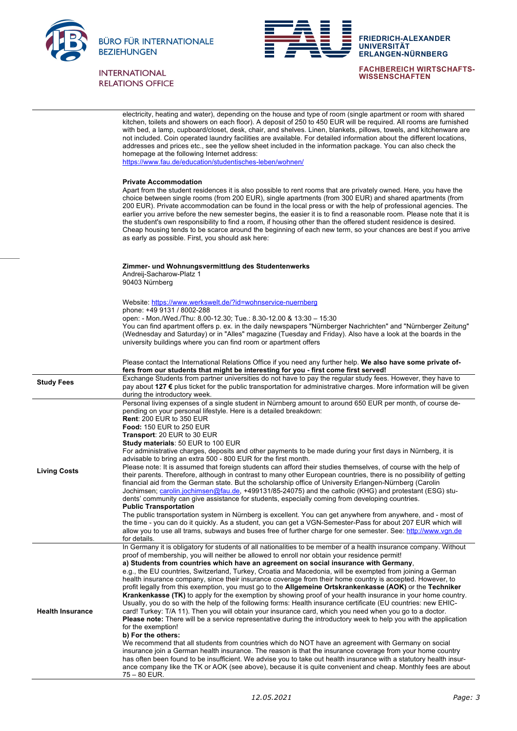



**FACHBEREICH WIRTSCHAFTS-WISSENSCHAFTEN**

**ERLANGEN-NÜRNBERG**

**UNIVERSITÄT**

|                         | electricity, heating and water), depending on the house and type of room (single apartment or room with shared<br>kitchen, toilets and showers on each floor). A deposit of 250 to 450 EUR will be required. All rooms are furnished<br>with bed, a lamp, cupboard/closet, desk, chair, and shelves. Linen, blankets, pillows, towels, and kitchenware are<br>not included. Coin operated laundry facilities are available. For detailed information about the different locations,<br>addresses and prices etc., see the yellow sheet included in the information package. You can also check the<br>homepage at the following Internet address:<br>https://www.fau.de/education/studentisches-leben/wohnen/                                                                                                                                                                                                                                                                                                                                                                                                                                                                                                                                                                                                                                                                                                                                                                                                                                                                                                         |
|-------------------------|-----------------------------------------------------------------------------------------------------------------------------------------------------------------------------------------------------------------------------------------------------------------------------------------------------------------------------------------------------------------------------------------------------------------------------------------------------------------------------------------------------------------------------------------------------------------------------------------------------------------------------------------------------------------------------------------------------------------------------------------------------------------------------------------------------------------------------------------------------------------------------------------------------------------------------------------------------------------------------------------------------------------------------------------------------------------------------------------------------------------------------------------------------------------------------------------------------------------------------------------------------------------------------------------------------------------------------------------------------------------------------------------------------------------------------------------------------------------------------------------------------------------------------------------------------------------------------------------------------------------------|
|                         | <b>Private Accommodation</b><br>Apart from the student residences it is also possible to rent rooms that are privately owned. Here, you have the<br>choice between single rooms (from 200 EUR), single apartments (from 300 EUR) and shared apartments (from<br>200 EUR). Private accommodation can be found in the local press or with the help of professional agencies. The<br>earlier you arrive before the new semester begins, the easier it is to find a reasonable room. Please note that it is<br>the student's own responsibility to find a room, if housing other than the offered student residence is desired.<br>Cheap housing tends to be scarce around the beginning of each new term, so your chances are best if you arrive<br>as early as possible. First, you should ask here:                                                                                                                                                                                                                                                                                                                                                                                                                                                                                                                                                                                                                                                                                                                                                                                                                    |
|                         | Zimmer- und Wohnungsvermittlung des Studentenwerks<br>Andreij-Sacharow-Platz 1<br>90403 Nürnberg                                                                                                                                                                                                                                                                                                                                                                                                                                                                                                                                                                                                                                                                                                                                                                                                                                                                                                                                                                                                                                                                                                                                                                                                                                                                                                                                                                                                                                                                                                                      |
|                         | Website: https://www.werkswelt.de/?id=wohnservice-nuernberg<br>phone: +49 9131 / 8002-288<br>open: - Mon./Wed./Thu: 8.00-12.30; Tue.: 8.30-12.00 & 13:30 - 15:30<br>You can find apartment offers p. ex. in the daily newspapers "Nürnberger Nachrichten" and "Nürnberger Zeitung"<br>(Wednesday and Saturday) or in "Alles" magazine (Tuesday and Friday). Also have a look at the boards in the<br>university buildings where you can find room or apartment offers                                                                                                                                                                                                                                                                                                                                                                                                                                                                                                                                                                                                                                                                                                                                                                                                                                                                                                                                                                                                                                                                                                                                                 |
|                         | Please contact the International Relations Office if you need any further help. We also have some private of-<br>fers from our students that might be interesting for you - first come first served!                                                                                                                                                                                                                                                                                                                                                                                                                                                                                                                                                                                                                                                                                                                                                                                                                                                                                                                                                                                                                                                                                                                                                                                                                                                                                                                                                                                                                  |
| <b>Study Fees</b>       | Exchange Students from partner universities do not have to pay the regular study fees. However, they have to<br>pay about 127 € plus ticket for the public transportation for administrative charges. More information will be given<br>during the introductory week.                                                                                                                                                                                                                                                                                                                                                                                                                                                                                                                                                                                                                                                                                                                                                                                                                                                                                                                                                                                                                                                                                                                                                                                                                                                                                                                                                 |
| <b>Living Costs</b>     | Personal living expenses of a single student in Nürnberg amount to around 650 EUR per month, of course de-<br>pending on your personal lifestyle. Here is a detailed breakdown:<br><b>Rent: 200 EUR to 350 EUR</b><br><b>Food: 150 EUR to 250 EUR</b><br><b>Transport: 20 EUR to 30 EUR</b><br><b>Study materials: 50 EUR to 100 EUR</b><br>For administrative charges, deposits and other payments to be made during your first days in Nürnberg, it is<br>advisable to bring an extra 500 - 800 EUR for the first month.<br>Please note: It is assumed that foreign students can afford their studies themselves, of course with the help of<br>their parents. Therefore, although in contrast to many other European countries, there is no possibility of getting<br>financial aid from the German state. But the scholarship office of University Erlangen-Nürnberg (Carolin<br>Jochimsen; carolin.jochimsen@fau.de, +499131/85-24075) and the catholic (KHG) and protestant (ESG) stu-<br>dents' community can give assistance for students, especially coming from developing countries.<br><b>Public Transportation</b><br>The public transportation system in Nürnberg is excellent. You can get anywhere from anywhere, and - most of<br>the time - you can do it quickly. As a student, you can get a VGN-Semester-Pass for about 207 EUR which will<br>allow you to use all trams, subways and buses free of further charge for one semester. See: http://www.ygn.de<br>for details.<br>In Germany it is obligatory for students of all nationalities to be member of a health insurance company. Without |
| <b>Health Insurance</b> | proof of membership, you will neither be allowed to enroll nor obtain your residence permit!<br>a) Students from countries which have an agreement on social insurance with Germany,<br>e.g., the EU countries, Switzerland, Turkey, Croatia and Macedonia, will be exempted from joining a German<br>health insurance company, since their insurance coverage from their home country is accepted. However, to<br>profit legally from this exemption, you must go to the Allgemeine Ortskrankenkasse (AOK) or the Techniker<br>Krankenkasse (TK) to apply for the exemption by showing proof of your health insurance in your home country.<br>Usually, you do so with the help of the following forms: Health insurance certificate (EU countries: new EHIC-<br>card! Turkey: T/A 11). Then you will obtain your insurance card, which you need when you go to a doctor.<br><b>Please note:</b> There will be a service representative during the introductory week to help you with the application<br>for the exemption!<br>b) For the others:<br>We recommend that all students from countries which do NOT have an agreement with Germany on social<br>insurance join a German health insurance. The reason is that the insurance coverage from your home country<br>has often been found to be insufficient. We advise you to take out health insurance with a statutory health insur-<br>ance company like the TK or AOK (see above), because it is quite convenient and cheap. Monthly fees are about<br>75 – 80 EUR.                                                                                        |